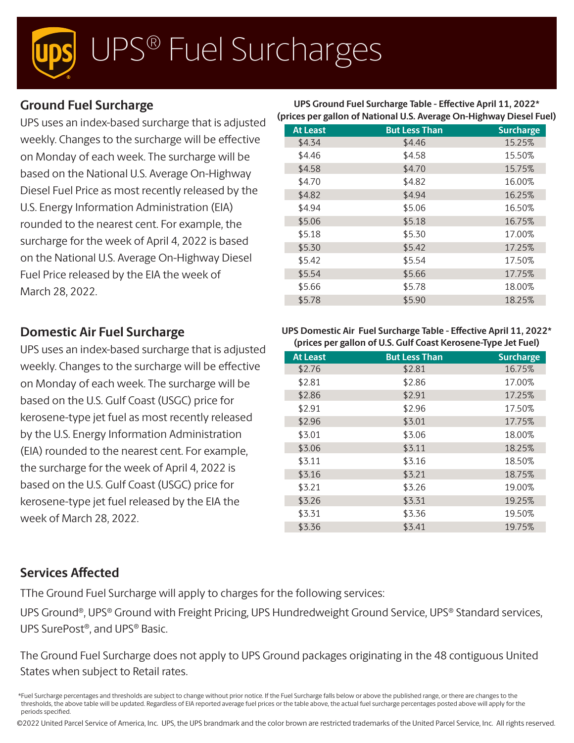# UPS® Fuel Surcharges

## **Ground Fuel Surcharge**

UPS uses an index-based surcharge that is adjusted weekly. Changes to the surcharge will be effective on Monday of each week. The surcharge will be based on the National U.S. Average On-Highway Diesel Fuel Price as most recently released by the U.S. Energy Information Administration (EIA) rounded to the nearest cent. For example, the surcharge for the week of April 4, 2022 is based on the National U.S. Average On-Highway Diesel Fuel Price released by the EIA the week of March 28, 2022.

## **Domestic Air Fuel Surcharge**

UPS uses an index-based surcharge that is adjusted weekly. Changes to the surcharge will be effective on Monday of each week. The surcharge will be based on the U.S. Gulf Coast (USGC) price for kerosene-type jet fuel as most recently released by the U.S. Energy Information Administration (EIA) rounded to the nearest cent. For example, the surcharge for the week of April 4, 2022 is based on the U.S. Gulf Coast (USGC) price for kerosene-type jet fuel released by the EIA the week of March 28, 2022.

#### **UPS Ground Fuel Surcharge Table - Effective April 11, 2022\* (prices per gallon of National U.S. Average On-Highway Diesel Fuel)**

| <b>But Less Than</b> | <b>Surcharge</b> |
|----------------------|------------------|
| \$4.46               | 15.25%           |
| \$4.58               | 15.50%           |
| \$4.70               | 15.75%           |
| \$4.82               | 16.00%           |
| \$4.94               | 16.25%           |
| \$5.06               | 16.50%           |
| \$5.18               | 16.75%           |
| \$5.30               | 17.00%           |
| \$5.42               | 17.25%           |
| \$5.54               | 17.50%           |
| \$5.66               | 17.75%           |
| \$5.78               | 18.00%           |
| \$5.90               | 18.25%           |
|                      |                  |

#### **UPS Domestic Air Fuel Surcharge Table - Effective April 11, 2022\* (prices per gallon of U.S. Gulf Coast Kerosene-Type Jet Fuel)**

| <b>At Least</b> | <b>But Less Than</b> | <b>Surcharge</b> |
|-----------------|----------------------|------------------|
| \$2.76          | \$2.81               | 16.75%           |
| \$2.81          | \$2.86               | 17.00%           |
| \$2.86          | \$2.91               | 17.25%           |
| \$2.91          | \$2.96               | 17.50%           |
| \$2.96          | \$3.01               | 17.75%           |
| \$3.01          | \$3.06               | 18.00%           |
| \$3.06          | \$3.11               | 18.25%           |
| \$3.11          | \$3.16               | 18.50%           |
| \$3.16          | \$3.21               | 18.75%           |
| \$3.21          | \$3.26               | 19.00%           |
| \$3.26          | \$3.31               | 19.25%           |
| \$3.31          | \$3.36               | 19.50%           |
| \$3.36          | \$3.41               | 19.75%           |

## **Services Affected**

TThe Ground Fuel Surcharge will apply to charges for the following services:

UPS Ground®, UPS® Ground with Freight Pricing, UPS Hundredweight Ground Service, UPS® Standard services, UPS SurePost®, and UPS® Basic.

The Ground Fuel Surcharge does not apply to UPS Ground packages originating in the 48 contiguous United States when subject to Retail rates.

©2022 United Parcel Service of America, Inc. UPS, the UPS brandmark and the color brown are restricted trademarks of the United Parcel Service, Inc. All rights reserved.

<sup>\*</sup>Fuel Surcharge percentages and thresholds are subject to change without prior notice. If the Fuel Surcharge falls below or above the published range, or there are changes to the thresholds, the above table will be updated. Regardless of EIA reported average fuel prices or the table above, the actual fuel surcharge percentages posted above will apply for the periods specified.